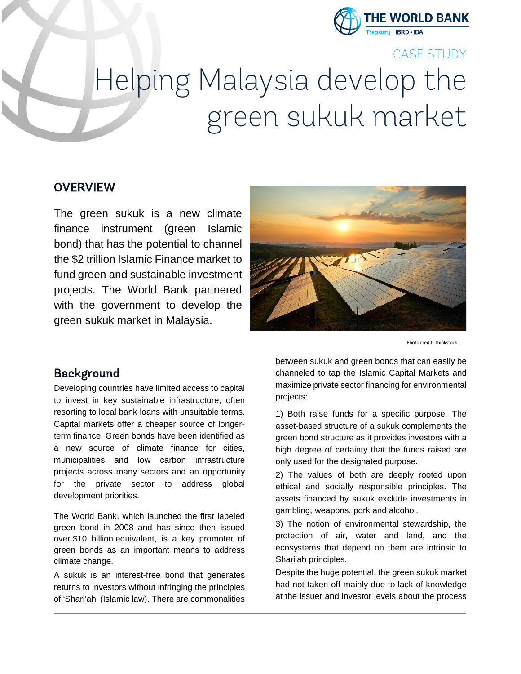

# CASE STUDY Helping Malaysia develop the green sukuk market

#### **OVERVIEW**

The green sukuk is a new climate finance instrument (green Islamic bond) that has the potential to channel the \$2 trillion Islamic Finance market to fund green and sustainable investment projects. The World Bank partnered with the government to develop the green sukuk market in Malaysia.



Photo credit: Thinkstock

#### Background

Developing countries have limited access to capital to invest in key sustainable infrastructure, often resorting to local bank loans with unsuitable terms. Capital markets offer a cheaper source of longerterm finance. Green bonds have been identified as a new source of climate finance for cities, municipalities and low carbon infrastructure projects across many sectors and an opportunity for the private sector to address global development priorities.

The World Bank, which launched the first labeled green bond in 2008 and has since then issued over \$10 billion equivalent, is a key promoter of green bonds as an important means to address climate change.

A sukuk is an interest-free bond that generates returns to investors without infringing the principles of 'Shari'ah' (Islamic law). There are commonalities

between sukuk and green bonds that can easily be channeled to tap the Islamic Capital Markets and maximize private sector financing for environmental projects:

1) Both raise funds for a specific purpose. The asset-based structure of a sukuk complements the green bond structure as it provides investors with a high degree of certainty that the funds raised are only used for the designated purpose.

2) The values of both are deeply rooted upon ethical and socially responsible principles. The assets financed by sukuk exclude investments in gambling, weapons, pork and alcohol.

3) The notion of environmental stewardship, the protection of air, water and land, and the ecosystems that depend on them are intrinsic to Shari'ah principles.

Despite the huge potential, the green sukuk market had not taken off mainly due to lack of knowledge at the issuer and investor levels about the process